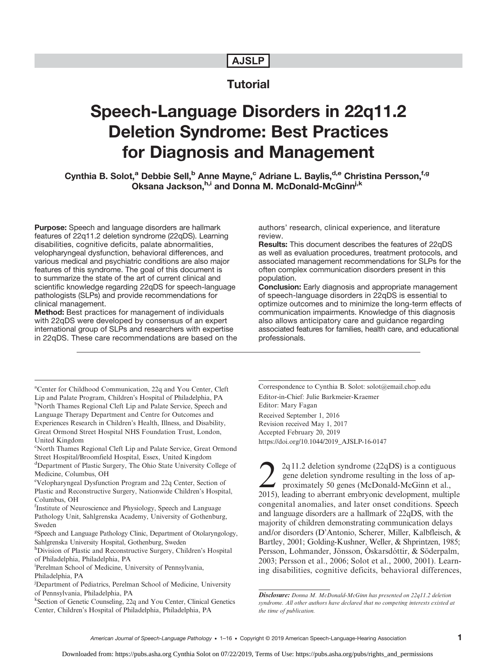# AJSLP

# **Tutorial**

# Speech-Language Disorders in 22q11.2 Deletion Syndrome: Best Practices for Diagnosis and Management

Cynthia B. Solot,<sup>a</sup> Debbie Sell,<sup>b</sup> Anne Mayne,<sup>c</sup> Adriane L. Baylis,<sup>d,e</sup> Christina Persson,<sup>f,g</sup> Oksana Jackson, h,i and Donna M. McDonald-McGinn<sup>j,k</sup>

Purpose: Speech and language disorders are hallmark features of 22q11.2 deletion syndrome (22qDS). Learning disabilities, cognitive deficits, palate abnormalities, velopharyngeal dysfunction, behavioral differences, and various medical and psychiatric conditions are also major features of this syndrome. The goal of this document is to summarize the state of the art of current clinical and scientific knowledge regarding 22qDS for speech-language pathologists (SLPs) and provide recommendations for clinical management.

Method: Best practices for management of individuals with 22qDS were developed by consensus of an expert international group of SLPs and researchers with expertise in 22qDS. These care recommendations are based on the

a Center for Childhood Communication, 22q and You Center, Cleft Lip and Palate Program, Children's Hospital of Philadelphia, PA <sup>b</sup>North Thames Regional Cleft Lip and Palate Service, Speech and Language Therapy Department and Centre for Outcomes and Experiences Research in Children's Health, Illness, and Disability, Great Ormond Street Hospital NHS Foundation Trust, London, United Kingdom

- <sup>d</sup>Department of Plastic Surgery, The Ohio State University College of Medicine, Columbus, OH
- e Velopharyngeal Dysfunction Program and 22q Center, Section of Plastic and Reconstructive Surgery, Nationwide Children's Hospital, Columbus, OH

<sup>f</sup>Institute of Neuroscience and Physiology, Speech and Language Pathology Unit, Sahlgrenska Academy, University of Gothenburg, Sweden

<sup>g</sup>Speech and Language Pathology Clinic, Department of Otolaryngology, Sahlgrenska University Hospital, Gothenburg, Sweden

h<sub>Division</sub> of Plastic and Reconstructive Surgery, Children's Hospital of Philadelphia, Philadelphia, PA

i Perelman School of Medicine, University of Pennsylvania, Philadelphia, PA

k Section of Genetic Counseling, 22q and You Center, Clinical Genetics Center, Children's Hospital of Philadelphia, Philadelphia, PA

authors' research, clinical experience, and literature review.

Results: This document describes the features of 22qDS as well as evaluation procedures, treatment protocols, and associated management recommendations for SLPs for the often complex communication disorders present in this population.

Conclusion: Early diagnosis and appropriate management of speech-language disorders in 22qDS is essential to optimize outcomes and to minimize the long-term effects of communication impairments. Knowledge of this diagnosis also allows anticipatory care and guidance regarding associated features for families, health care, and educational professionals.

Correspondence to Cynthia B. Solot: solot@email.chop.edu Editor-in-Chief: Julie Barkmeier-Kraemer Editor: Mary Fagan Received September 1, 2016 Revision received May 1, 2017 Accepted February 20, 2019 [https://doi.org/10.1044/2019\\_AJSLP-16-0147](https://doi.org/10.1044/2019_AJSLP-16-0147)

 $2q11.2$  deletion syndrome (22qDS) is a contiguous gene deletion syndrome resulting in the loss of approximately 50 genes (McDonald-McGinn et al., 2015), leading to aberrant embryonic development, multiple congenital anomalies, and later onset conditions. Speech and language disorders are a hallmark of 22qDS, with the majority of children demonstrating communication delays and/or disorders (D'Antonio, Scherer, Miller, Kalbfleisch, & Bartley, 2001; Golding-Kushner, Weller, & Shprintzen, 1985; Persson, Lohmander, Jönsson, Óskarsdóttir, & Söderpalm, 2003; Persson et al., 2006; Solot et al., 2000, 2001). Learning disabilities, cognitive deficits, behavioral differences,

c North Thames Regional Cleft Lip and Palate Service, Great Ormond Street Hospital/Broomfield Hospital, Essex, United Kingdom

<sup>&</sup>lt;sup>j</sup>Department of Pediatrics, Perelman School of Medicine, University of Pennsylvania, Philadelphia, PA

Disclosure: Donna M. McDonald-McGinn has presented on 22q11.2 deletion syndrome. All other authors have declared that no competing interests existed at the time of publication.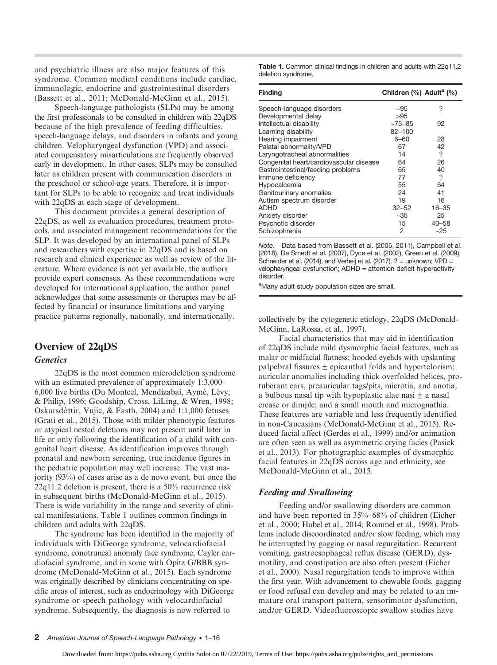and psychiatric illness are also major features of this syndrome. Common medical conditions include cardiac, immunologic, endocrine and gastrointestinal disorders (Bassett et al., 2011; McDonald-McGinn et al., 2015).

Speech-language pathologists (SLPs) may be among the first professionals to be consulted in children with 22qDS because of the high prevalence of feeding difficulties, speech-language delays, and disorders in infants and young children. Velopharyngeal dysfunction (VPD) and associated compensatory misarticulations are frequently observed early in development. In other cases, SLPs may be consulted later as children present with communication disorders in the preschool or school-age years. Therefore, it is important for SLPs to be able to recognize and treat individuals with 22qDS at each stage of development.

This document provides a general description of 22qDS, as well as evaluation procedures, treatment protocols, and associated management recommendations for the SLP. It was developed by an international panel of SLPs and researchers with expertise in 22qDS and is based on research and clinical experience as well as review of the literature. Where evidence is not yet available, the authors provide expert consensus. As these recommendations were developed for international application, the author panel acknowledges that some assessments or therapies may be affected by financial or insurance limitations and varying practice patterns regionally, nationally, and internationally.

# Overview of 22qDS

#### **Genetics**

22qDS is the most common microdeletion syndrome with an estimated prevalence of approximately 1:3,000– 6,000 live births (Du Montcel, Mendizabai, Aymé, Lévy, & Philip, 1996; Goodship, Cross, LiLing, & Wren, 1998; Oskarsdóttir, Vujic, & Fasth, 2004) and 1:1,000 fetuses (Grati et al., 2015). Those with milder phenotypic features or atypical nested deletions may not present until later in life or only following the identification of a child with congenital heart disease. As identification improves through prenatal and newborn screening, true incidence figures in the pediatric population may well increase. The vast majority (93%) of cases arise as a de novo event, but once the 22q11.2 deletion is present, there is a 50% recurrence risk in subsequent births (McDonald-McGinn et al., 2015). There is wide variability in the range and severity of clinical manifestations. Table 1 outlines common findings in children and adults with 22qDS.

The syndrome has been identified in the majority of individuals with DiGeorge syndrome, velocardiofacial syndrome, conotruncal anomaly face syndrome, Cayler cardiofacial syndrome, and in some with Opitz G/BBB syndrome (McDonald-McGinn et al., 2015). Each syndrome was originally described by clinicians concentrating on specific areas of interest, such as endocrinology with DiGeorge syndrome or speech pathology with velocardiofacial syndrome. Subsequently, the diagnosis is now referred to

Table 1. Common clinical findings in children and adults with 22q11.2 deletion syndrome.

| <b>Finding</b>                          | Children (%) Adult <sup>a</sup> (%) |           |
|-----------------------------------------|-------------------------------------|-----------|
| Speech-language disorders               | $~10-5$                             | ?         |
| Developmental delay                     | >95                                 |           |
| Intellectual disability                 | $~175 - 85$                         | 92        |
| Learning disability                     | $82 - 100$                          |           |
| Hearing impairment                      | 6-60                                | 28        |
| Palatal abnormality/VPD                 | 67                                  | 42        |
| Laryngotracheal abnormalities           | 14                                  | ?         |
| Congenital heart/cardiovascular disease | 64                                  | 26        |
| Gastrointestinal/feeding problems       | 65                                  | 40        |
| Immune deficiency                       | 77                                  | ?         |
| Hypocalcemia                            | 55                                  | 64        |
| Genitourinary anomalies                 | 24                                  | 41        |
| Autism spectrum disorder                | 19                                  | 16        |
| <b>ADHD</b>                             | $32 - 52$                           | $16 - 35$ |
| Anxiety disorder                        | ~1.35                               | 25        |
| Psychotic disorder                      | 15                                  | $40 - 58$ |
| Schizophrenia                           | 2                                   | ~25       |

Note. Data based from Bassett et al. (2005, 2011), Campbell et al. (2018), De Smedt et al. (2007), Dyce et al. (2002), Green et al. (2009), Schneider et al. (2014), and Verheij et al. (2017). ? = unknown; VPD = velopharyngeal dysfunction; ADHD = attention deficit hyperactivity disorder.

<sup>a</sup>Many adult study population sizes are small.

collectively by the cytogenetic etiology, 22qDS (McDonald-McGinn, LaRossa, et al., 1997).

Facial characteristics that may aid in identification of 22qDS include mild dysmorphic facial features, such as malar or midfacial flatness; hooded eyelids with upslanting palpebral fissures  $\pm$  epicanthal folds and hypertelorism; auricular anomalies including thick overfolded helices, protuberant ears, preauricular tags/pits, microtia, and anotia; a bulbous nasal tip with hypoplastic alae nasi  $\pm$  a nasal crease or dimple; and a small mouth and micrognathia. These features are variable and less frequently identified in non-Caucasians (McDonald-McGinn et al., 2015). Reduced facial affect (Gerdes et al., 1999) and/or animation are often seen as well as asymmetric crying facies (Pasick et al., 2013). For photographic examples of dysmorphic facial features in 22qDS across age and ethnicity, see McDonald-McGinn et al., 2015.

#### Feeding and Swallowing

Feeding and/or swallowing disorders are common and have been reported in 35%–68% of children (Eicher et al., 2000; Habel et al., 2014; Rommel et al., 1998). Problems include discoordinated and/or slow feeding, which may be interrupted by gagging or nasal regurgitation. Recurrent vomiting, gastroesophageal reflux disease (GERD), dysmotility, and constipation are also often present (Eicher et al., 2000). Nasal regurgitation tends to improve within the first year. With advancement to chewable foods, gagging or food refusal can develop and may be related to an immature oral transport pattern, sensorimotor dysfunction, and/or GERD. Videofluoroscopic swallow studies have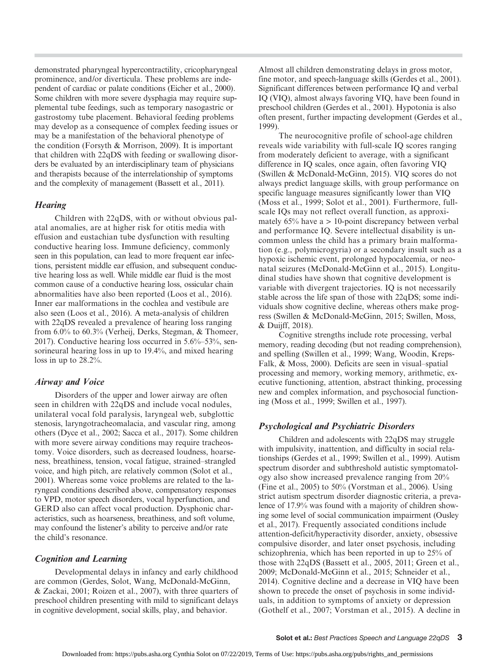demonstrated pharyngeal hypercontractility, cricopharyngeal prominence, and/or diverticula. These problems are independent of cardiac or palate conditions (Eicher et al., 2000). Some children with more severe dysphagia may require supplemental tube feedings, such as temporary nasogastric or gastrostomy tube placement. Behavioral feeding problems may develop as a consequence of complex feeding issues or may be a manifestation of the behavioral phenotype of the condition (Forsyth & Morrison, 2009). It is important that children with 22qDS with feeding or swallowing disorders be evaluated by an interdisciplinary team of physicians and therapists because of the interrelationship of symptoms and the complexity of management (Bassett et al., 2011).

#### **Hearing**

Children with 22qDS, with or without obvious palatal anomalies, are at higher risk for otitis media with effusion and eustachian tube dysfunction with resulting conductive hearing loss. Immune deficiency, commonly seen in this population, can lead to more frequent ear infections, persistent middle ear effusion, and subsequent conductive hearing loss as well. While middle ear fluid is the most common cause of a conductive hearing loss, ossicular chain abnormalities have also been reported (Loos et al., 2016). Inner ear malformations in the cochlea and vestibule are also seen (Loos et al., 2016). A meta-analysis of children with 22qDS revealed a prevalence of hearing loss ranging from 6.0% to 60.3% (Verheij, Derks, Stegman, & Thomeer, 2017). Conductive hearing loss occurred in 5.6%–53%, sensorineural hearing loss in up to 19.4%, and mixed hearing loss in up to 28.2%.

#### Airway and Voice

Disorders of the upper and lower airway are often seen in children with 22qDS and include vocal nodules, unilateral vocal fold paralysis, laryngeal web, subglottic stenosis, laryngotracheomalacia, and vascular ring, among others (Dyce et al., 2002; Sacca et al., 2017). Some children with more severe airway conditions may require tracheostomy. Voice disorders, such as decreased loudness, hoarseness, breathiness, tension, vocal fatigue, strained–strangled voice, and high pitch, are relatively common (Solot et al., 2001). Whereas some voice problems are related to the laryngeal conditions described above, compensatory responses to VPD, motor speech disorders, vocal hyperfunction, and GERD also can affect vocal production. Dysphonic characteristics, such as hoarseness, breathiness, and soft volume, may confound the listener's ability to perceive and/or rate the child's resonance.

#### Cognition and Learning

Developmental delays in infancy and early childhood are common (Gerdes, Solot, Wang, McDonald-McGinn, & Zackai, 2001; Roizen et al., 2007), with three quarters of preschool children presenting with mild to significant delays in cognitive development, social skills, play, and behavior.

Almost all children demonstrating delays in gross motor, fine motor, and speech-language skills (Gerdes et al., 2001). Significant differences between performance IQ and verbal IQ (VIQ), almost always favoring VIQ, have been found in preschool children (Gerdes et al., 2001). Hypotonia is also often present, further impacting development (Gerdes et al., 1999).

The neurocognitive profile of school-age children reveals wide variability with full-scale IQ scores ranging from moderately deficient to average, with a significant difference in IQ scales, once again, often favoring VIQ (Swillen & McDonald-McGinn, 2015). VIQ scores do not always predict language skills, with group performance on specific language measures significantly lower than VIQ (Moss et al., 1999; Solot et al., 2001). Furthermore, fullscale IQs may not reflect overall function, as approximately  $65\%$  have a  $> 10$ -point discrepancy between verbal and performance IQ. Severe intellectual disability is uncommon unless the child has a primary brain malformation (e.g., polymicrogyria) or a secondary insult such as a hypoxic ischemic event, prolonged hypocalcemia, or neonatal seizures (McDonald-McGinn et al., 2015). Longitudinal studies have shown that cognitive development is variable with divergent trajectories. IQ is not necessarily stable across the life span of those with 22qDS; some individuals show cognitive decline, whereas others make progress (Swillen & McDonald-McGinn, 2015; Swillen, Moss, & Duijff, 2018).

Cognitive strengths include rote processing, verbal memory, reading decoding (but not reading comprehension), and spelling (Swillen et al., 1999; Wang, Woodin, Kreps-Falk, & Moss, 2000). Deficits are seen in visual–spatial processing and memory, working memory, arithmetic, executive functioning, attention, abstract thinking, processing new and complex information, and psychosocial functioning (Moss et al., 1999; Swillen et al., 1997).

#### Psychological and Psychiatric Disorders

Children and adolescents with 22qDS may struggle with impulsivity, inattention, and difficulty in social relationships (Gerdes et al., 1999; Swillen et al., 1999). Autism spectrum disorder and subthreshold autistic symptomatology also show increased prevalence ranging from 20% (Fine et al., 2005) to 50% (Vorstman et al., 2006). Using strict autism spectrum disorder diagnostic criteria, a prevalence of 17.9% was found with a majority of children showing some level of social communication impairment (Ousley et al., 2017). Frequently associated conditions include attention-deficit/hyperactivity disorder, anxiety, obsessive compulsive disorder, and later onset psychosis, including schizophrenia, which has been reported in up to 25% of those with 22qDS (Bassett et al., 2005, 2011; Green et al., 2009; McDonald-McGinn et al., 2015; Schneider et al., 2014). Cognitive decline and a decrease in VIQ have been shown to precede the onset of psychosis in some individuals, in addition to symptoms of anxiety or depression (Gothelf et al., 2007; Vorstman et al., 2015). A decline in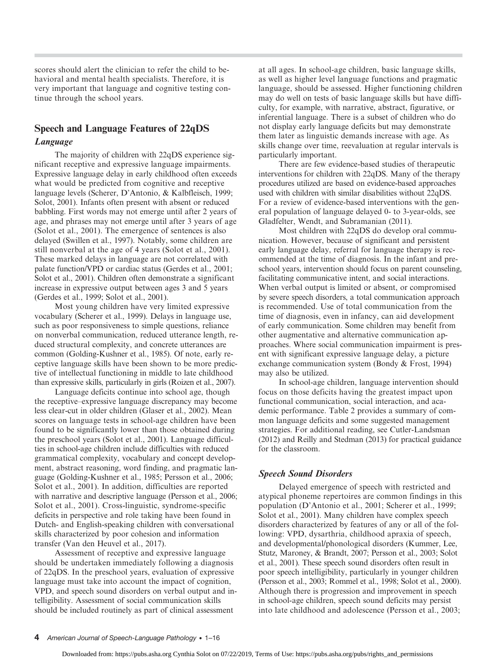scores should alert the clinician to refer the child to behavioral and mental health specialists. Therefore, it is very important that language and cognitive testing continue through the school years.

# Speech and Language Features of 22qDS Language

The majority of children with 22qDS experience significant receptive and expressive language impairments. Expressive language delay in early childhood often exceeds what would be predicted from cognitive and receptive language levels (Scherer, D'Antonio, & Kalbfleisch, 1999; Solot, 2001). Infants often present with absent or reduced babbling. First words may not emerge until after 2 years of age, and phrases may not emerge until after 3 years of age (Solot et al., 2001). The emergence of sentences is also delayed (Swillen et al., 1997). Notably, some children are still nonverbal at the age of 4 years (Solot et al., 2001). These marked delays in language are not correlated with palate function/VPD or cardiac status (Gerdes et al., 2001; Solot et al., 2001). Children often demonstrate a significant increase in expressive output between ages 3 and 5 years (Gerdes et al., 1999; Solot et al., 2001).

Most young children have very limited expressive vocabulary (Scherer et al., 1999). Delays in language use, such as poor responsiveness to simple questions, reliance on nonverbal communication, reduced utterance length, reduced structural complexity, and concrete utterances are common (Golding-Kushner et al., 1985). Of note, early receptive language skills have been shown to be more predictive of intellectual functioning in middle to late childhood than expressive skills, particularly in girls (Roizen et al., 2007).

Language deficits continue into school age, though the receptive–expressive language discrepancy may become less clear-cut in older children (Glaser et al., 2002). Mean scores on language tests in school-age children have been found to be significantly lower than those obtained during the preschool years (Solot et al., 2001). Language difficulties in school-age children include difficulties with reduced grammatical complexity, vocabulary and concept development, abstract reasoning, word finding, and pragmatic language (Golding-Kushner et al., 1985; Persson et al., 2006; Solot et al., 2001). In addition, difficulties are reported with narrative and descriptive language (Persson et al., 2006; Solot et al., 2001). Cross-linguistic, syndrome-specific deficits in perspective and role taking have been found in Dutch- and English-speaking children with conversational skills characterized by poor cohesion and information transfer (Van den Heuvel et al., 2017).

Assessment of receptive and expressive language should be undertaken immediately following a diagnosis of 22qDS. In the preschool years, evaluation of expressive language must take into account the impact of cognition, VPD, and speech sound disorders on verbal output and intelligibility. Assessment of social communication skills should be included routinely as part of clinical assessment

at all ages. In school-age children, basic language skills, as well as higher level language functions and pragmatic language, should be assessed. Higher functioning children may do well on tests of basic language skills but have difficulty, for example, with narrative, abstract, figurative, or inferential language. There is a subset of children who do not display early language deficits but may demonstrate them later as linguistic demands increase with age. As skills change over time, reevaluation at regular intervals is particularly important.

There are few evidence-based studies of therapeutic interventions for children with 22qDS. Many of the therapy procedures utilized are based on evidence-based approaches used with children with similar disabilities without 22qDS. For a review of evidence-based interventions with the general population of language delayed 0- to 3-year-olds, see Gladfelter, Wendt, and Subramanian (2011).

Most children with 22qDS do develop oral communication. However, because of significant and persistent early language delay, referral for language therapy is recommended at the time of diagnosis. In the infant and preschool years, intervention should focus on parent counseling, facilitating communicative intent, and social interactions. When verbal output is limited or absent, or compromised by severe speech disorders, a total communication approach is recommended. Use of total communication from the time of diagnosis, even in infancy, can aid development of early communication. Some children may benefit from other augmentative and alternative communication approaches. Where social communication impairment is present with significant expressive language delay, a picture exchange communication system (Bondy & Frost, 1994) may also be utilized.

In school-age children, language intervention should focus on those deficits having the greatest impact upon functional communication, social interaction, and academic performance. Table 2 provides a summary of common language deficits and some suggested management strategies. For additional reading, see Cutler-Landsman (2012) and Reilly and Stedman (2013) for practical guidance for the classroom.

## Speech Sound Disorders

Delayed emergence of speech with restricted and atypical phoneme repertoires are common findings in this population (D'Antonio et al., 2001; Scherer et al., 1999; Solot et al., 2001). Many children have complex speech disorders characterized by features of any or all of the following: VPD, dysarthria, childhood apraxia of speech, and developmental/phonological disorders (Kummer, Lee, Stutz, Maroney, & Brandt, 2007; Persson et al., 2003; Solot et al., 2001). These speech sound disorders often result in poor speech intelligibility, particularly in younger children (Persson et al., 2003; Rommel et al., 1998; Solot et al., 2000). Although there is progression and improvement in speech in school-age children, speech sound deficits may persist into late childhood and adolescence (Persson et al., 2003;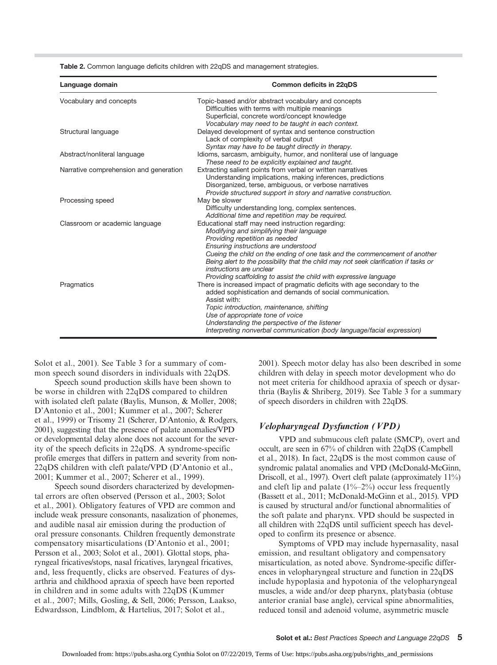| Table 2. Common language deficits children with 22qDS and management strategies. |  |  |  |  |
|----------------------------------------------------------------------------------|--|--|--|--|
|----------------------------------------------------------------------------------|--|--|--|--|

| Language domain                        | Common deficits in 22qDS                                                                                                                                                                                                                                                                                                                                                                                                                        |
|----------------------------------------|-------------------------------------------------------------------------------------------------------------------------------------------------------------------------------------------------------------------------------------------------------------------------------------------------------------------------------------------------------------------------------------------------------------------------------------------------|
| Vocabulary and concepts                | Topic-based and/or abstract vocabulary and concepts<br>Difficulties with terms with multiple meanings<br>Superficial, concrete word/concept knowledge<br>Vocabulary may need to be taught in each context.                                                                                                                                                                                                                                      |
| Structural language                    | Delayed development of syntax and sentence construction<br>Lack of complexity of verbal output<br>Syntax may have to be taught directly in therapy.                                                                                                                                                                                                                                                                                             |
| Abstract/nonliteral language           | Idioms, sarcasm, ambiguity, humor, and nonliteral use of language<br>These need to be explicitly explained and taught.                                                                                                                                                                                                                                                                                                                          |
| Narrative comprehension and generation | Extracting salient points from verbal or written narratives<br>Understanding implications, making inferences, predictions<br>Disorganized, terse, ambiguous, or verbose narratives<br>Provide structured support in story and narrative construction.                                                                                                                                                                                           |
| Processing speed                       | May be slower<br>Difficulty understanding long, complex sentences.<br>Additional time and repetition may be required.                                                                                                                                                                                                                                                                                                                           |
| Classroom or academic language         | Educational staff may need instruction regarding:<br>Modifying and simplifying their language<br>Providing repetition as needed<br>Ensuring instructions are understood<br>Cueing the child on the ending of one task and the commencement of another<br>Being alert to the possibility that the child may not seek clarification if tasks or<br>instructions are unclear<br>Providing scaffolding to assist the child with expressive language |
| Pragmatics                             | There is increased impact of pragmatic deficits with age secondary to the<br>added sophistication and demands of social communication.<br>Assist with:<br>Topic introduction, maintenance, shifting<br>Use of appropriate tone of voice<br>Understanding the perspective of the listener<br>Interpreting nonverbal communication (body language/facial expression)                                                                              |

Solot et al., 2001). See Table 3 for a summary of common speech sound disorders in individuals with 22qDS.

Speech sound production skills have been shown to be worse in children with 22qDS compared to children with isolated cleft palate (Baylis, Munson, & Moller, 2008; D'Antonio et al., 2001; Kummer et al., 2007; Scherer et al., 1999) or Trisomy 21 (Scherer, D'Antonio, & Rodgers, 2001), suggesting that the presence of palate anomalies/VPD or developmental delay alone does not account for the severity of the speech deficits in 22qDS. A syndrome-specific profile emerges that differs in pattern and severity from non-22qDS children with cleft palate/VPD (D'Antonio et al., 2001; Kummer et al., 2007; Scherer et al., 1999).

Speech sound disorders characterized by developmental errors are often observed (Persson et al., 2003; Solot et al., 2001). Obligatory features of VPD are common and include weak pressure consonants, nasalization of phonemes, and audible nasal air emission during the production of oral pressure consonants. Children frequently demonstrate compensatory misarticulations (D'Antonio et al., 2001; Persson et al., 2003; Solot et al., 2001). Glottal stops, pharyngeal fricatives/stops, nasal fricatives, laryngeal fricatives, and, less frequently, clicks are observed. Features of dysarthria and childhood apraxia of speech have been reported in children and in some adults with 22qDS (Kummer et al., 2007; Mills, Gosling, & Sell, 2006; Persson, Laakso, Edwardsson, Lindblom, & Hartelius, 2017; Solot et al.,

2001). Speech motor delay has also been described in some children with delay in speech motor development who do not meet criteria for childhood apraxia of speech or dysarthria (Baylis & Shriberg, 2019). See Table 3 for a summary of speech disorders in children with 22qDS.

#### Velopharyngeal Dysfunction (VPD)

VPD and submucous cleft palate (SMCP), overt and occult, are seen in 67% of children with 22qDS (Campbell et al., 2018). In fact, 22qDS is the most common cause of syndromic palatal anomalies and VPD (McDonald-McGinn, Driscoll, et al., 1997). Overt cleft palate (approximately 11%) and cleft lip and palate  $(1\textdegree{-}2\textdegree{})$  occur less frequently (Bassett et al., 2011; McDonald-McGinn et al., 2015). VPD is caused by structural and/or functional abnormalities of the soft palate and pharynx. VPD should be suspected in all children with 22qDS until sufficient speech has developed to confirm its presence or absence.

Symptoms of VPD may include hypernasality, nasal emission, and resultant obligatory and compensatory misarticulation, as noted above. Syndrome-specific differences in velopharyngeal structure and function in 22qDS include hypoplasia and hypotonia of the velopharyngeal muscles, a wide and/or deep pharynx, platybasia (obtuse anterior cranial base angle), cervical spine abnormalities, reduced tonsil and adenoid volume, asymmetric muscle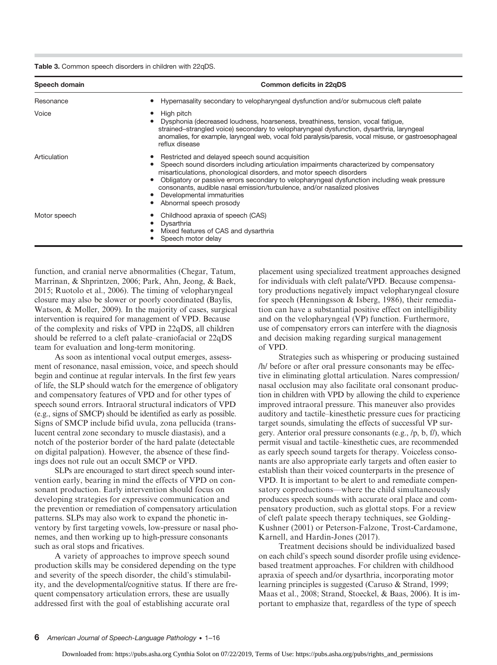Table 3. Common speech disorders in children with 22qDS.

| Speech domain | Common deficits in 22qDS                                                                                                                                                                                                                                                                                                                                                                                                                                                  |  |
|---------------|---------------------------------------------------------------------------------------------------------------------------------------------------------------------------------------------------------------------------------------------------------------------------------------------------------------------------------------------------------------------------------------------------------------------------------------------------------------------------|--|
| Resonance     | Hypernasality secondary to velopharyngeal dysfunction and/or submucous cleft palate<br>٠                                                                                                                                                                                                                                                                                                                                                                                  |  |
| Voice         | High pitch<br>Dysphonia (decreased loudness, hoarseness, breathiness, tension, vocal fatique,<br>strained-strangled voice) secondary to velopharyngeal dysfunction, dysarthria, laryngeal<br>anomalies, for example, laryngeal web, vocal fold paralysis/paresis, vocal misuse, or gastroesophageal<br>reflux disease                                                                                                                                                     |  |
| Articulation  | Restricted and delayed speech sound acquisition<br>Speech sound disorders including articulation impairments characterized by compensatory<br>$\bullet$<br>misarticulations, phonological disorders, and motor speech disorders<br>Obligatory or passive errors secondary to velopharyngeal dysfunction including weak pressure<br>٠<br>consonants, audible nasal emission/turbulence, and/or nasalized plosives<br>Developmental immaturities<br>Abnormal speech prosody |  |
| Motor speech  | Childhood apraxia of speech (CAS)<br>Dysarthria<br>Mixed features of CAS and dysarthria<br>Speech motor delay                                                                                                                                                                                                                                                                                                                                                             |  |

function, and cranial nerve abnormalities (Chegar, Tatum, Marrinan, & Shprintzen, 2006; Park, Ahn, Jeong, & Baek, 2015; Ruotolo et al., 2006). The timing of velopharyngeal closure may also be slower or poorly coordinated (Baylis, Watson, & Moller, 2009). In the majority of cases, surgical intervention is required for management of VPD. Because of the complexity and risks of VPD in 22qDS, all children should be referred to a cleft palate–craniofacial or 22qDS team for evaluation and long-term monitoring.

As soon as intentional vocal output emerges, assessment of resonance, nasal emission, voice, and speech should begin and continue at regular intervals. In the first few years of life, the SLP should watch for the emergence of obligatory and compensatory features of VPD and for other types of speech sound errors. Intraoral structural indicators of VPD (e.g., signs of SMCP) should be identified as early as possible. Signs of SMCP include bifid uvula, zona pellucida (translucent central zone secondary to muscle diastasis), and a notch of the posterior border of the hard palate (detectable on digital palpation). However, the absence of these findings does not rule out an occult SMCP or VPD.

SLPs are encouraged to start direct speech sound intervention early, bearing in mind the effects of VPD on consonant production. Early intervention should focus on developing strategies for expressive communication and the prevention or remediation of compensatory articulation patterns. SLPs may also work to expand the phonetic inventory by first targeting vowels, low-pressure or nasal phonemes, and then working up to high-pressure consonants such as oral stops and fricatives.

A variety of approaches to improve speech sound production skills may be considered depending on the type and severity of the speech disorder, the child's stimulability, and the developmental/cognitive status. If there are frequent compensatory articulation errors, these are usually addressed first with the goal of establishing accurate oral

placement using specialized treatment approaches designed for individuals with cleft palate/VPD. Because compensatory productions negatively impact velopharyngeal closure for speech (Henningsson & Isberg, 1986), their remediation can have a substantial positive effect on intelligibility and on the velopharyngeal (VP) function. Furthermore, use of compensatory errors can interfere with the diagnosis and decision making regarding surgical management of VPD.

Strategies such as whispering or producing sustained /h/ before or after oral pressure consonants may be effective in eliminating glottal articulation. Nares compression/ nasal occlusion may also facilitate oral consonant production in children with VPD by allowing the child to experience improved intraoral pressure. This maneuver also provides auditory and tactile–kinesthetic pressure cues for practicing target sounds, simulating the effects of successful VP surgery. Anterior oral pressure consonants (e.g., /p, b, f/), which permit visual and tactile–kinesthetic cues, are recommended as early speech sound targets for therapy. Voiceless consonants are also appropriate early targets and often easier to establish than their voiced counterparts in the presence of VPD. It is important to be alert to and remediate compensatory coproductions—where the child simultaneously produces speech sounds with accurate oral place and compensatory production, such as glottal stops. For a review of cleft palate speech therapy techniques, see Golding-Kushner (2001) or Peterson-Falzone, Trost-Cardamone, Karnell, and Hardin-Jones (2017).

Treatment decisions should be individualized based on each child's speech sound disorder profile using evidencebased treatment approaches. For children with childhood apraxia of speech and/or dysarthria, incorporating motor learning principles is suggested (Caruso & Strand, 1999; Maas et al., 2008; Strand, Stoeckel, & Baas, 2006). It is important to emphasize that, regardless of the type of speech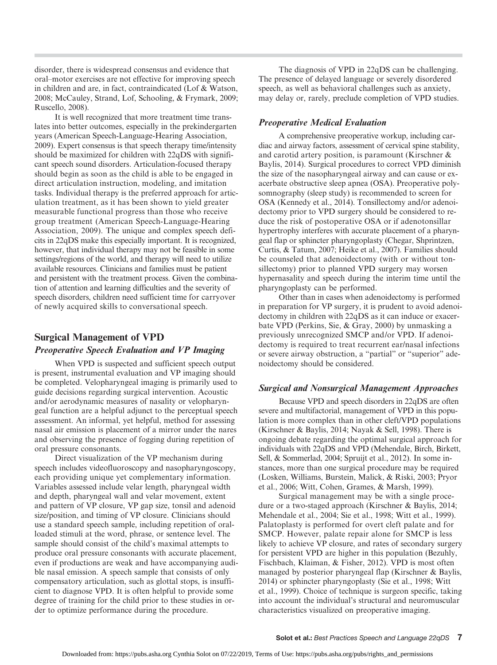disorder, there is widespread consensus and evidence that oral–motor exercises are not effective for improving speech in children and are, in fact, contraindicated (Lof & Watson, 2008; McCauley, Strand, Lof, Schooling, & Frymark, 2009; Ruscello, 2008).

It is well recognized that more treatment time translates into better outcomes, especially in the prekindergarten years (American Speech-Language-Hearing Association, 2009). Expert consensus is that speech therapy time/intensity should be maximized for children with 22qDS with significant speech sound disorders. Articulation-focused therapy should begin as soon as the child is able to be engaged in direct articulation instruction, modeling, and imitation tasks. Individual therapy is the preferred approach for articulation treatment, as it has been shown to yield greater measurable functional progress than those who receive group treatment (American Speech-Language-Hearing Association, 2009). The unique and complex speech deficits in 22qDS make this especially important. It is recognized, however, that individual therapy may not be feasible in some settings/regions of the world, and therapy will need to utilize available resources. Clinicians and families must be patient and persistent with the treatment process. Given the combination of attention and learning difficulties and the severity of speech disorders, children need sufficient time for carryover of newly acquired skills to conversational speech.

#### Surgical Management of VPD

#### Preoperative Speech Evaluation and VP Imaging

When VPD is suspected and sufficient speech output is present, instrumental evaluation and VP imaging should be completed. Velopharyngeal imaging is primarily used to guide decisions regarding surgical intervention. Acoustic and/or aerodynamic measures of nasality or velopharyngeal function are a helpful adjunct to the perceptual speech assessment. An informal, yet helpful, method for assessing nasal air emission is placement of a mirror under the nares and observing the presence of fogging during repetition of oral pressure consonants.

Direct visualization of the VP mechanism during speech includes videofluoroscopy and nasopharyngoscopy, each providing unique yet complementary information. Variables assessed include velar length, pharyngeal width and depth, pharyngeal wall and velar movement, extent and pattern of VP closure, VP gap size, tonsil and adenoid size/position, and timing of VP closure. Clinicians should use a standard speech sample, including repetition of oralloaded stimuli at the word, phrase, or sentence level. The sample should consist of the child's maximal attempts to produce oral pressure consonants with accurate placement, even if productions are weak and have accompanying audible nasal emission. A speech sample that consists of only compensatory articulation, such as glottal stops, is insufficient to diagnose VPD. It is often helpful to provide some degree of training for the child prior to these studies in order to optimize performance during the procedure.

The diagnosis of VPD in 22qDS can be challenging. The presence of delayed language or severely disordered speech, as well as behavioral challenges such as anxiety, may delay or, rarely, preclude completion of VPD studies.

#### Preoperative Medical Evaluation

A comprehensive preoperative workup, including cardiac and airway factors, assessment of cervical spine stability, and carotid artery position, is paramount (Kirschner & Baylis, 2014). Surgical procedures to correct VPD diminish the size of the nasopharyngeal airway and can cause or exacerbate obstructive sleep apnea (OSA). Preoperative polysomnography (sleep study) is recommended to screen for OSA (Kennedy et al., 2014). Tonsillectomy and/or adenoidectomy prior to VPD surgery should be considered to reduce the risk of postoperative OSA or if adenotonsillar hypertrophy interferes with accurate placement of a pharyngeal flap or sphincter pharyngoplasty (Chegar, Shprintzen, Curtis, & Tatum, 2007; Heike et al., 2007). Families should be counseled that adenoidectomy (with or without tonsillectomy) prior to planned VPD surgery may worsen hypernasality and speech during the interim time until the pharyngoplasty can be performed.

Other than in cases when adenoidectomy is performed in preparation for VP surgery, it is prudent to avoid adenoidectomy in children with 22qDS as it can induce or exacerbate VPD (Perkins, Sie, & Gray, 2000) by unmasking a previously unrecognized SMCP and/or VPD. If adenoidectomy is required to treat recurrent ear/nasal infections or severe airway obstruction, a "partial" or "superior" adenoidectomy should be considered.

#### Surgical and Nonsurgical Management Approaches

Because VPD and speech disorders in 22qDS are often severe and multifactorial, management of VPD in this population is more complex than in other cleft/VPD populations (Kirschner & Baylis, 2014; Nayak & Sell, 1998). There is ongoing debate regarding the optimal surgical approach for individuals with 22qDS and VPD (Mehendale, Birch, Birkett, Sell, & Sommerlad, 2004; Spruijt et al., 2012). In some instances, more than one surgical procedure may be required (Losken, Williams, Burstein, Malick, & Riski, 2003; Pryor et al., 2006; Witt, Cohen, Grames, & Marsh, 1999).

Surgical management may be with a single procedure or a two-staged approach (Kirschner & Baylis, 2014; Mehendale et al., 2004; Sie et al., 1998; Witt et al., 1999). Palatoplasty is performed for overt cleft palate and for SMCP. However, palate repair alone for SMCP is less likely to achieve VP closure, and rates of secondary surgery for persistent VPD are higher in this population (Bezuhly, Fischbach, Klaiman, & Fisher, 2012). VPD is most often managed by posterior pharyngeal flap (Kirschner & Baylis, 2014) or sphincter pharyngoplasty (Sie et al., 1998; Witt et al., 1999). Choice of technique is surgeon specific, taking into account the individual's structural and neuromuscular characteristics visualized on preoperative imaging.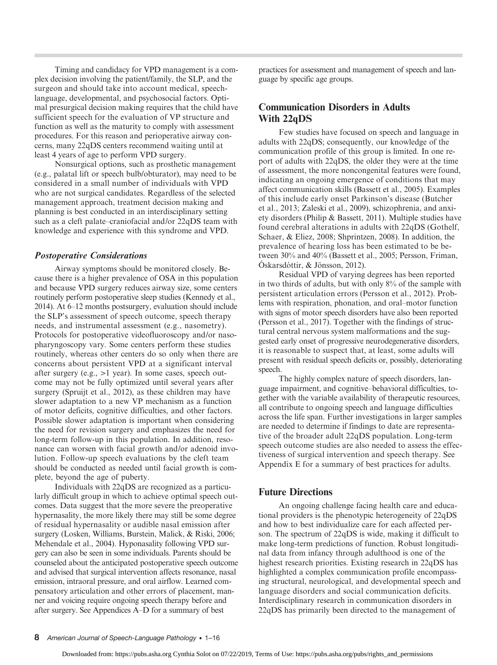Timing and candidacy for VPD management is a complex decision involving the patient/family, the SLP, and the surgeon and should take into account medical, speechlanguage, developmental, and psychosocial factors. Optimal presurgical decision making requires that the child have sufficient speech for the evaluation of VP structure and function as well as the maturity to comply with assessment procedures. For this reason and perioperative airway concerns, many 22qDS centers recommend waiting until at least 4 years of age to perform VPD surgery.

Nonsurgical options, such as prosthetic management (e.g., palatal lift or speech bulb/obturator), may need to be considered in a small number of individuals with VPD who are not surgical candidates. Regardless of the selected management approach, treatment decision making and planning is best conducted in an interdisciplinary setting such as a cleft palate–craniofacial and/or 22qDS team with knowledge and experience with this syndrome and VPD.

#### Postoperative Considerations

Airway symptoms should be monitored closely. Because there is a higher prevalence of OSA in this population and because VPD surgery reduces airway size, some centers routinely perform postoperative sleep studies (Kennedy et al., 2014). At 6–12 months postsurgery, evaluation should include the SLP's assessment of speech outcome, speech therapy needs, and instrumental assessment (e.g., nasometry). Protocols for postoperative videofluoroscopy and/or nasopharyngoscopy vary. Some centers perform these studies routinely, whereas other centers do so only when there are concerns about persistent VPD at a significant interval after surgery (e.g., >1 year). In some cases, speech outcome may not be fully optimized until several years after surgery (Spruijt et al., 2012), as these children may have slower adaptation to a new VP mechanism as a function of motor deficits, cognitive difficulties, and other factors. Possible slower adaptation is important when considering the need for revision surgery and emphasizes the need for long-term follow-up in this population. In addition, resonance can worsen with facial growth and/or adenoid involution. Follow-up speech evaluations by the cleft team should be conducted as needed until facial growth is complete, beyond the age of puberty.

Individuals with 22qDS are recognized as a particularly difficult group in which to achieve optimal speech outcomes. Data suggest that the more severe the preoperative hypernasality, the more likely there may still be some degree of residual hypernasality or audible nasal emission after surgery (Losken, Williams, Burstein, Malick, & Riski, 2006; Mehendale et al., 2004). Hyponasality following VPD surgery can also be seen in some individuals. Parents should be counseled about the anticipated postoperative speech outcome and advised that surgical intervention affects resonance, nasal emission, intraoral pressure, and oral airflow. Learned compensatory articulation and other errors of placement, manner and voicing require ongoing speech therapy before and after surgery. See Appendices A–D for a summary of best

practices for assessment and management of speech and language by specific age groups.

# Communication Disorders in Adults With 22qDS

Few studies have focused on speech and language in adults with 22qDS; consequently, our knowledge of the communication profile of this group is limited. In one report of adults with 22qDS, the older they were at the time of assessment, the more noncongenital features were found, indicating an ongoing emergence of conditions that may affect communication skills (Bassett et al., 2005). Examples of this include early onset Parkinson's disease (Butcher et al., 2013; Zaleski et al., 2009), schizophrenia, and anxiety disorders (Philip & Bassett, 2011). Multiple studies have found cerebral alterations in adults with 22qDS (Gothelf, Schaer, & Eliez, 2008; Shprintzen, 2008). In addition, the prevalence of hearing loss has been estimated to be between 30% and 40% (Bassett et al., 2005; Persson, Friman, Óskarsdóttir, & Jönsson, 2012).

Residual VPD of varying degrees has been reported in two thirds of adults, but with only 8% of the sample with persistent articulation errors (Persson et al., 2012). Problems with respiration, phonation, and oral–motor function with signs of motor speech disorders have also been reported (Persson et al., 2017). Together with the findings of structural central nervous system malformations and the suggested early onset of progressive neurodegenerative disorders, it is reasonable to suspect that, at least, some adults will present with residual speech deficits or, possibly, deteriorating speech.

The highly complex nature of speech disorders, language impairment, and cognitive–behavioral difficulties, together with the variable availability of therapeutic resources, all contribute to ongoing speech and language difficulties across the life span. Further investigations in larger samples are needed to determine if findings to date are representative of the broader adult 22qDS population. Long-term speech outcome studies are also needed to assess the effectiveness of surgical intervention and speech therapy. See Appendix E for a summary of best practices for adults.

#### Future Directions

An ongoing challenge facing health care and educational providers is the phenotypic heterogeneity of 22qDS and how to best individualize care for each affected person. The spectrum of 22qDS is wide, making it difficult to make long-term predictions of function. Robust longitudinal data from infancy through adulthood is one of the highest research priorities. Existing research in 22qDS has highlighted a complex communication profile encompassing structural, neurological, and developmental speech and language disorders and social communication deficits. Interdisciplinary research in communication disorders in 22qDS has primarily been directed to the management of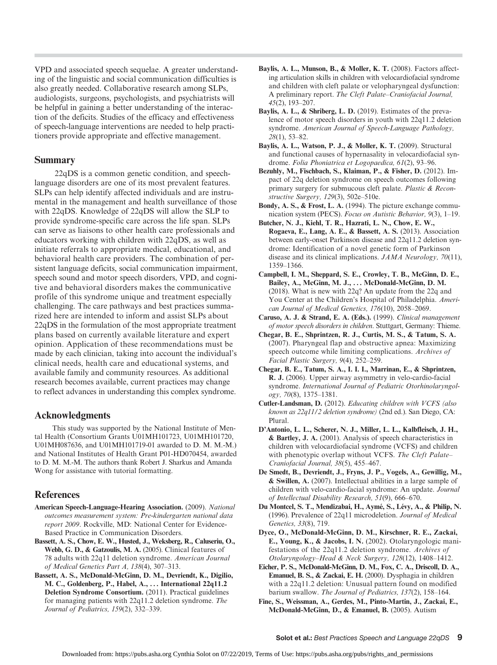VPD and associated speech sequelae. A greater understanding of the linguistic and social communication difficulties is also greatly needed. Collaborative research among SLPs, audiologists, surgeons, psychologists, and psychiatrists will be helpful in gaining a better understanding of the interaction of the deficits. Studies of the efficacy and effectiveness of speech-language interventions are needed to help practitioners provide appropriate and effective management.

#### Summary

22qDS is a common genetic condition, and speechlanguage disorders are one of its most prevalent features. SLPs can help identify affected individuals and are instrumental in the management and health surveillance of those with 22qDS. Knowledge of 22qDS will allow the SLP to provide syndrome-specific care across the life span. SLPs can serve as liaisons to other health care professionals and educators working with children with 22qDS, as well as initiate referrals to appropriate medical, educational, and behavioral health care providers. The combination of persistent language deficits, social communication impairment, speech sound and motor speech disorders, VPD, and cognitive and behavioral disorders makes the communicative profile of this syndrome unique and treatment especially challenging. The care pathways and best practices summarized here are intended to inform and assist SLPs about 22qDS in the formulation of the most appropriate treatment plans based on currently available literature and expert opinion. Application of these recommendations must be made by each clinician, taking into account the individual's clinical needs, health care and educational systems, and available family and community resources. As additional research becomes available, current practices may change to reflect advances in understanding this complex syndrome.

#### Acknowledgments

This study was supported by the National Institute of Mental Health (Consortium Grants U01MH101723, U01MH101720, U01MH087636, and U01MH101719-01 awarded to D. M. M.-M.) and National Institutes of Health Grant P01-HD070454, awarded to D. M. M.-M. The authors thank Robert J. Sharkus and Amanda Wong for assistance with tutorial formatting.

#### References

- American Speech-Language-Hearing Association. (2009). National outcomes measurement system: Pre-kindergarten national data report 2009. Rockville, MD: National Center for Evidence-Based Practice in Communication Disorders.
- Bassett, A. S., Chow, E. W., Husted, J., Weksberg, R., Caluseriu, O., Webb, G. D., & Gatzoulis, M. A. (2005). Clinical features of 78 adults with 22q11 deletion syndrome. American Journal of Medical Genetics Part A, 138(4), 307–313.
- Bassett, A. S., McDonald-McGinn, D. M., Devriendt, K., Digilio, M. C., Goldenberg, P., Habel, A., ... International 22q11.2 Deletion Syndrome Consortium. (2011). Practical guidelines for managing patients with 22q11.2 deletion syndrome. The Journal of Pediatrics, 159(2), 332–339.
- Baylis, A. L., Munson, B., & Moller, K. T. (2008). Factors affecting articulation skills in children with velocardiofacial syndrome and children with cleft palate or velopharyngeal dysfunction: A preliminary report. The Cleft Palate–Craniofacial Journal, 45(2), 193–207.
- Baylis, A. L., & Shriberg, L. D. (2019). Estimates of the prevalence of motor speech disorders in youth with 22q11.2 deletion syndrome. American Journal of Speech-Language Pathology, 28(1), 53–82.
- Baylis, A. L., Watson, P. J., & Moller, K. T. (2009). Structural and functional causes of hypernasality in velocardiofacial syndrome. Folia Phoniatrica et Logopaedica, 61(2), 93–96.
- Bezuhly, M., Fischbach, S., Klaiman, P., & Fisher, D. (2012). Impact of 22q deletion syndrome on speech outcomes following primary surgery for submucous cleft palate. Plastic & Reconstructive Surgery, 129(3), 502e–510e.
- Bondy, A. S., & Frost, L. A. (1994). The picture exchange communication system (PECS). Focus on Autistic Behavior, 9(3), 1–19.
- Butcher, N. J., Kiehl, T. R., Hazrati, L. N., Chow, E. W., Rogaeva, E., Lang, A. E., & Bassett, A. S. (2013). Association between early-onset Parkinson disease and 22q11.2 deletion syndrome: Identification of a novel genetic form of Parkinson disease and its clinical implications. JAMA Neurology, 70(11), 1359–1366.
- Campbell, I. M., Sheppard, S. E., Crowley, T. B., McGinn, D. E., Bailey, A., McGinn, M. J., . . . McDonald-McGinn, D. M. (2018). What is new with 22q? An update from the 22q and You Center at the Children's Hospital of Philadelphia. American Journal of Medical Genetics, 176(10), 2058–2069.
- Caruso, A. J. & Strand, E. A. (Eds.). (1999). Clinical management of motor speech disorders in children. Stuttgart, Germany: Thieme.
- Chegar, B. E., Shprintzen, R. J., Curtis, M. S., & Tatum, S. A. (2007). Pharyngeal flap and obstructive apnea: Maximizing speech outcome while limiting complications. Archives of Facial Plastic Surgery, 9(4), 252–259.
- Chegar, B. E., Tatum, S. A., I. I. I., Marrinan, E., & Shprintzen, R. J. (2006). Upper airway asymmetry in velo-cardio-facial syndrome. International Journal of Pediatric Otorhinolaryngology, 70(8), 1375–1381.
- Cutler-Landsman, D. (2012). Educating children with VCFS (also known as 22q11/2 deletion syndrome) (2nd ed.). San Diego, CA: Plural.
- D'Antonio, L. L., Scherer, N. J., Miller, L. L., Kalbfleisch, J. H., & Bartley, J. A. (2001). Analysis of speech characteristics in children with velocardiofacial syndrome (VCFS) and children with phenotypic overlap without VCFS. The Cleft Palate-Craniofacial Journal, 38(5), 455–467.
- De Smedt, B., Devriendt, J., Fryns, J. P., Vogels, A., Gewillig, M., & Swillen, A. (2007). Intellectual abilities in a large sample of children with velo-cardio-facial syndrome: An update. Journal of Intellectual Disability Research, 51(9), 666–670.
- Du Montcel, S. T., Mendizabai, H., Aymé, S., Lévy, A., & Philip, N. (1996). Prevalence of 22q11 microdeletion. Journal of Medical Genetics, 33(8), 719.
- Dyce, O., McDonald-McGinn, D. M., Kirschner, R. E., Zackai, E., Young, K., & Jacobs, I. N. (2002). Otolaryngologic manifestations of the 22q11.2 deletion syndrome. Archives of Otolaryngology–Head & Neck Surgery, 128(12), 1408–1412.
- Eicher, P. S., McDonald-McGinn, D. M., Fox, C. A., Driscoll, D. A., Emanuel, B. S., & Zackai, E. H. (2000). Dysphagia in children with a 22q11.2 deletion: Unusual pattern found on modified barium swallow. The Journal of Pediatrics, 137(2), 158–164.
- Fine, S., Weissman, A., Gerdes, M., Pinto-Martin, J., Zackai, E., McDonald-McGinn, D., & Emanuel, B. (2005). Autism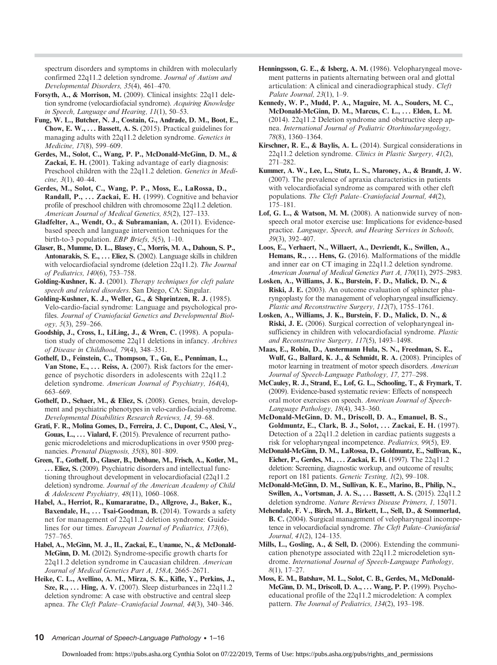spectrum disorders and symptoms in children with molecularly confirmed 22q11.2 deletion syndrome. Journal of Autism and Developmental Disorders, 35(4), 461–470.

- Forsyth, A., & Morrison, M. (2009). Clinical insights: 22q11 deletion syndrome (velocardiofacial syndrome). Acquiring Knowledge in Speech, Language and Hearing, 11(1), 50–53.
- Fung, W. L., Butcher, N. J., Costain, G., Andrade, D. M., Boot, E., Chow, E. W.,  $\dots$  Bassett, A. S. (2015). Practical guidelines for managing adults with 22q11.2 deletion syndrome. Genetics in Medicine, 17(8), 599–609.
- Gerdes, M., Solot, C., Wang, P. P., McDonald-McGinn, D. M., & Zackai, E. H. (2001). Taking advantage of early diagnosis: Preschool children with the 22q11.2 deletion. Genetics in Medicine, 3(1), 40–44.
- Gerdes, M., Solot, C., Wang, P. P., Moss, E., LaRossa, D., Randall, P., ... Zackai, E. H. (1999). Cognitive and behavior profile of preschool children with chromosome 22q11.2 deletion. American Journal of Medical Genetics, 85(2), 127–133.
- Gladfelter, A., Wendt, O., & Subramanian, A. (2011). Evidencebased speech and language intervention techniques for the birth-to-3 population. EBP Briefs, 5(5), 1–10.
- Glaser, B., Mumme, D. L., Blasey, C., Morris, M. A., Dahoun, S. P., Antonarakis, S. E., ... Eliez, S. (2002). Language skills in children with velocardiofacial syndrome (deletion 22q11.2). The Journal of Pediatrics, 140(6), 753–758.
- Golding-Kushner, K. J. (2001). Therapy techniques for cleft palate speech and related disorders. San Diego, CA: Singular.
- Golding-Kushner, K. J., Weller, G., & Shprintzen, R. J. (1985). Velo-cardio-facial syndrome: Language and psychological profiles. Journal of Craniofacial Genetics and Developmental Biology, 5(3), 259–266.
- Goodship, J., Cross, I., LiLing, J., & Wren, C. (1998). A population study of chromosome 22q11 deletions in infancy. Archives of Disease in Childhood, 79(4), 348–351.
- Gothelf, D., Feinstein, C., Thompson, T., Gu, E., Penniman, L., Van Stone, E., ... Reiss, A. (2007). Risk factors for the emergence of psychotic disorders in adolescents with 22q11.2 deletion syndrome. American Journal of Psychiatry, 164(4), 663–669.
- Gothelf, D., Schaer, M., & Eliez, S. (2008). Genes, brain, development and psychiatric phenotypes in velo-cardio-facial-syndrome. Developmental Disabilities Research Reviews, 14, 59–68.
- Grati, F. R., Molina Gomes, D., Ferreira, J. C., Dupont, C., Alesi, V., Gouas, L., ... Vialard, F. (2015). Prevalence of recurrent pathogenic microdeletions and microduplications in over 9500 pregnancies. Prenatal Diagnosis, 35(8), 801–809.
- Green, T., Gothelf, D., Glaser, B., Debbane, M., Frisch, A., Kotler, M., ... Eliez, S. (2009). Psychiatric disorders and intellectual functioning throughout development in velocardiofacial (22q11.2 deletion) syndrome. Journal of the American Academy of Child & Adolescent Psychiatry, 48(11), 1060–1068.
- Habel, A., Herriot, R., Kumararatne, D., Allgrove, J., Baker, K., Baxendale, H., ... Tsai-Goodman, B. (2014). Towards a safety net for management of 22q11.2 deletion syndrome: Guidelines for our times. European Journal of Pediatrics, 173(6), 757–765.
- Habel, A., McGinn, M. J., II., Zackai, E., Unanue, N., & McDonald-McGinn, D. M. (2012). Syndrome-specific growth charts for 22q11.2 deletion syndrome in Caucasian children. American Journal of Medical Genetics Part A, 158A, 2665–2671.
- Heike, C. L., Avellino, A. M., Mirza, S. K., Kifle, Y., Perkins, J., Sze, R., ... Hing, A. V. (2007). Sleep disturbances in 22q11.2 deletion syndrome: A case with obstructive and central sleep apnea. The Cleft Palate–Craniofacial Journal, 44(3), 340–346.
- Henningsson, G. E., & Isberg, A. M. (1986). Velopharyngeal movement patterns in patients alternating between oral and glottal articulation: A clinical and cineradiographical study. Cleft Palate Journal, 23(1), 1–9.
- Kennedy, W. P., Mudd, P. A., Maguire, M. A., Souders, M. C., McDonald-McGinn, D. M., Marcus, C. L., . . . Elden, L. M. (2014). 22q11.2 Deletion syndrome and obstructive sleep apnea. International Journal of Pediatric Otorhinolaryngology, 78(8), 1360–1364.
- Kirschner, R. E., & Baylis, A. L. (2014). Surgical considerations in 22q11.2 deletion syndrome. Clinics in Plastic Surgery, 41(2), 271–282.
- Kummer, A. W., Lee, L., Stutz, L. S., Maroney, A., & Brandt, J. W. (2007). The prevalence of apraxia characteristics in patients with velocardiofacial syndrome as compared with other cleft populations. The Cleft Palate–Craniofacial Journal, 44(2), 175–181.
- Lof, G. L., & Watson, M. M. (2008). A nationwide survey of nonspeech oral motor exercise use: Implications for evidence-based practice. Language, Speech, and Hearing Services in Schools, 39(3), 392–407.
- Loos, E., Verhaert, N., Willaert, A., Devriendt, K., Swillen, A., Hemans, R., ... Hens, G. (2016). Malformations of the middle and inner ear on CT imaging in 22q11.2 deletion syndrome. American Journal of Medical Genetics Part A, 170(11), 2975–2983.
- Losken, A., Williams, J. K., Burstein, F. D., Malick, D. N., & Riski, J. E. (2003). An outcome evaluation of sphincter pharyngoplasty for the management of velopharyngeal insufficiency. Plastic and Reconstructive Surgery, 112(7), 1755–1761.
- Losken, A., Williams, J. K., Burstein, F. D., Malick, D. N., & Riski, J. E. (2006). Surgical correction of velopharyngeal insufficiency in children with velocardiofacial syndrome. Plastic and Reconstructive Surgery, 117(5), 1493–1498.
- Maas, E., Robin, D., Austermann Hula, S. N., Freedman, S. E., Wulf, G., Ballard, K. J., & Schmidt, R. A. (2008). Principles of motor learning in treatment of motor speech disorders. American Journal of Speech-Language Pathology, 17, 277–298.
- McCauley, R. J., Strand, E., Lof, G. L., Schooling, T., & Frymark, T. (2009). Evidence-based systematic review: Effects of nonspeech oral motor exercises on speech. American Journal of Speech-Language Pathology, 18(4), 343–360.
- McDonald-McGinn, D. M., Driscoll, D. A., Emanuel, B. S., Goldmuntz, E., Clark, B. J., Solot, . . . Zackai, E. H. (1997). Detection of a 22q11.2 deletion in cardiac patients suggests a risk for velopharyngeal incompetence. Pediatrics, 99(5), E9.
- McDonald-McGinn, D. M., LaRossa, D., Goldmuntz, E., Sullivan, K., Eicher, P., Gerdes, M., . . . Zackai, E. H. (1997). The 22q11.2 deletion: Screening, diagnostic workup, and outcome of results; report on 181 patients. Genetic Testing, 1(2), 99–108.
- McDonald-McGinn, D. M., Sullivan, K. E., Marino, B., Philip, N., Swillen, A., Vortsman, J. A. S., . . . Bassett, A. S. (2015). 22q11.2 deletion syndrome. Nature Reviews Disease Primers, 1, 15071.
- Mehendale, F. V., Birch, M. J., Birkett, L., Sell, D., & Sommerlad, B. C. (2004). Surgical management of velopharyngeal incompetence in velocardiofacial syndrome. The Cleft Palate–Craniofacial Journal, 41(2), 124–135.
- Mills, L., Gosling, A., & Sell, D. (2006). Extending the communication phenotype associated with 22q11.2 microdeletion syndrome. International Journal of Speech-Language Pathology,  $8(1), 17-27.$
- Moss, E. M., Batshaw, M. L., Solot, C. B., Gerdes, M., McDonald-McGinn, D. M., Driscoll, D. A., . . . Wang, P. P. (1999). Psychoeducational profile of the 22q11.2 microdeletion: A complex pattern. The Journal of Pediatrics, 134(2), 193–198.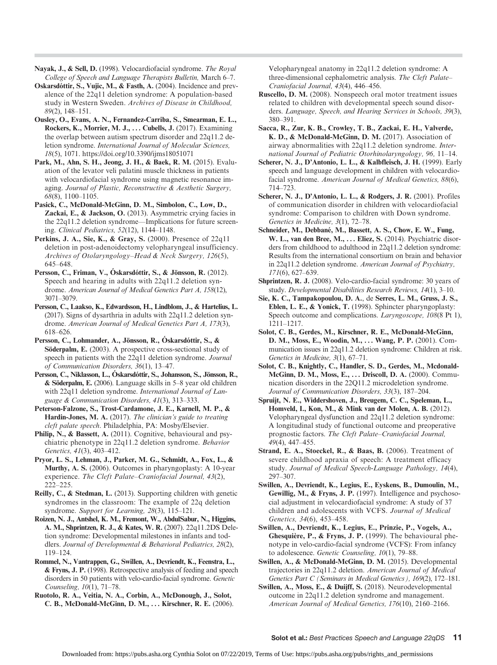Nayak, J., & Sell, D. (1998). Velocardiofacial syndrome. The Royal College of Speech and Language Therapists Bulletin, March 6–7.

Oskarsdóttir, S., Vujic, M., & Fasth, A. (2004). Incidence and prevalence of the 22q11 deletion syndrome: A population-based study in Western Sweden. Archives of Disease in Childhood, 89(2), 148–151.

Ousley, O., Evans, A. N., Fernandez-Carriba, S., Smearman, E. L., Rockers, K., Morrier, M. J., ... Cubells, J. (2017). Examining the overlap between autism spectrum disorder and 22q11.2 deletion syndrome. International Journal of Molecular Sciences, 18(5), 1071.<https://doi.org/10.3390/ijms18051071>

Park, M., Ahn, S. H., Jeong, J. H., & Baek, R. M. (2015). Evaluation of the levator veli palatini muscle thickness in patients with velocardiofacial syndrome using magnetic resonance imaging. Journal of Plastic, Reconstructive & Aesthetic Surgery, 68(8), 1100–1105.

Pasick, C., McDonald-McGinn, D. M., Simbolon, C., Low, D., Zackai, E., & Jackson, O. (2013). Asymmetric crying facies in the 22q11.2 deletion syndrome—Implications for future screening. Clinical Pediatrics, 52(12), 1144–1148.

Perkins, J. A., Sie, K., & Gray, S. (2000). Presence of 22q11 deletion in post-adenoidectomy velopharyngeal insufficiency. Archives of Otolaryngology–Head & Neck Surgery, 126(5), 645–648.

Persson, C., Friman, V., Óskarsdóttir, S., & Jönsson, R. (2012). Speech and hearing in adults with 22q11.2 deletion syndrome. American Journal of Medical Genetics Part A, 158(12), 3071–3079.

Persson, C., Laakso, K., Edwardsson, H., Lindblom, J., & Hartelius, L. (2017). Signs of dysarthria in adults with 22q11.2 deletion syndrome. American Journal of Medical Genetics Part A, 173(3), 618–626.

Persson, C., Lohmander, A., Jönsson, R., Óskarsdóttir, S., & Söderpalm, E. (2003). A prospective cross-sectional study of speech in patients with the 22q11 deletion syndrome. Journal of Communication Disorders, 36(1), 13–47.

Persson, C., Niklasson, L., Óskarsdóttir, S., Johansson, S., Jönsson, R., & Söderpalm, E. (2006). Language skills in 5–8 year old children with 22q11 deletion syndrome. International Journal of Language & Communication Disorders, 41(3), 313–333.

Peterson-Falzone, S., Trost-Cardamone, J. E., Karnell, M. P., & Hardin-Jones, M. A. (2017). The clinician's guide to treating cleft palate speech. Philadelphia, PA: Mosby/Elsevier.

Philip, N., & Bassett, A. (2011). Cognitive, behavioural and psychiatric phenotype in 22q11.2 deletion syndrome. Behavior Genetics, 41(3), 403–412.

Pryor, L. S., Lehman, J., Parker, M. G., Schmidt, A., Fox, L., & Murthy, A. S. (2006). Outcomes in pharyngoplasty: A 10-year experience. The Cleft Palate–Craniofacial Journal, 43(2), 222–225.

Reilly, C., & Stedman, L. (2013). Supporting children with genetic syndromes in the classroom: The example of 22q deletion syndrome. Support for Learning, 28(3), 115–121.

Roizen, N. J., Antshel, K. M., Fremont, W., AbdulSabur, N., Higgins, A. M., Shprintzen, R. J., & Kates, W. R. (2007). 22q11.2DS Deletion syndrome: Developmental milestones in infants and toddlers. Journal of Developmental & Behavioral Pediatrics, 28(2), 119–124.

Rommel, N., Vantrappen, G., Swillen, A., Devriendt, K., Feenstra, L., & Fryns, J. P. (1998). Retrospective analysis of feeding and speech disorders in 50 patients with velo-cardio-facial syndrome. Genetic Counseling, 10(1), 71–78.

Ruotolo, R. A., Veitia, N. A., Corbin, A., McDonough, J., Solot, C. B., McDonald-McGinn, D. M., . . . Kirschner, R. E. (2006). Velopharyngeal anatomy in 22q11.2 deletion syndrome: A three-dimensional cephalometric analysis. The Cleft Palate– Craniofacial Journal, 43(4), 446–456.

Ruscello, D. M. (2008). Nonspeech oral motor treatment issues related to children with developmental speech sound disorders. Language, Speech, and Hearing Services in Schools, 39(3), 380–391.

Sacca, R., Zur, K. B., Crowley, T. B., Zackai, E. H., Valverde, K. D., & McDonald-McGinn, D. M. (2017). Association of airway abnormalities with 22q11.2 deletion syndrome. International Journal of Pediatric Otorhinolaryngology, 96, 11–14.

Scherer, N. J., D'Antonio, L. L., & Kalbfleisch, J. H. (1999). Early speech and language development in children with velocardiofacial syndrome. American Journal of Medical Genetics, 88(6), 714–723.

Scherer, N. J., D'Antonio, L. L., & Rodgers, J. R. (2001). Profiles of communication disorder in children with velocardiofacial syndrome: Comparison to children with Down syndrome. Genetics in Medicine, 3(1), 72–78.

Schneider, M., Debbané, M., Bassett, A. S., Chow, E. W., Fung, W. L., van den Bree, M., ... Eliez, S. (2014). Psychiatric disorders from childhood to adulthood in 22q11.2 deletion syndrome: Results from the international consortium on brain and behavior in 22q11.2 deletion syndrome. American Journal of Psychiatry, 171(6), 627–639.

Shprintzen, R. J. (2008). Velo-cardio-facial syndrome: 30 years of study. Developmental Disabilities Research Reviews, 14(1), 3–10.

Sie, K. C., Tampakopoulou, D. A., de Serres, L. M., Gruss, J. S., Eblen, L. E., & Yonick, T. (1998). Sphincter pharyngoplasty: Speech outcome and complications. Laryngoscope, 108(8 Pt 1), 1211–1217.

Solot, C. B., Gerdes, M., Kirschner, R. E., McDonald-McGinn, D. M., Moss, E., Woodin, M., ... Wang, P. P. (2001). Communication issues in 22q11.2 deletion syndrome: Children at risk. Genetics in Medicine, 3(1), 67–71.

Solot, C. B., Knightly, C., Handler, S. D., Gerdes, M., Mcdonald-McGinn, D. M., Moss, E., ... Driscoll, D. A. (2000). Communication disorders in the 22Q11.2 microdeletion syndrome. Journal of Communication Disorders, 33(3), 187–204.

Spruijt, N. E., Widdershoven, J., Breugem, C. C., Speleman, L., Homveld, I., Kon, M., & Mink van der Molen, A. B. (2012). Velopharyngeal dysfunction and 22q11.2 deletion syndrome: A longitudinal study of functional outcome and preoperative prognostic factors. The Cleft Palate–Craniofacial Journal, 49(4), 447–455.

Strand, E. A., Stoeckel, R., & Baas, B. (2006). Treatment of severe childhood apraxia of speech: A treatment efficacy study. Journal of Medical Speech-Language Pathology, 14(4), 297–307.

Swillen, A., Devriendt, K., Legius, E., Eyskens, B., Dumoulin, M., Gewillig, M., & Fryns, J. P. (1997). Intelligence and psychosocial adjustment in velocardiofacial syndrome: A study of 37 children and adolescents with VCFS. Journal of Medical Genetics, 34(6), 453–458.

Swillen, A., Devriendt, K., Legius, E., Prinzie, P., Vogels, A., Ghesquière, P., & Fryns, J. P. (1999). The behavioural phenotype in velo-cardio-facial syndrome (VCFS): From infancy to adolescence. Genetic Counseling, 10(1), 79–88.

Swillen, A., & McDonald-McGinn, D. M. (2015). Developmental trajectories in 22q11.2 deletion. American Journal of Medical Genetics Part C (Seminars in Medical Genetics), 169(2), 172–181.

Swillen, A., Moss, E., & Duijff, S. (2018). Neurodevelopmental outcome in 22q11.2 deletion syndrome and management. American Journal of Medical Genetics, 176(10), 2160–2166.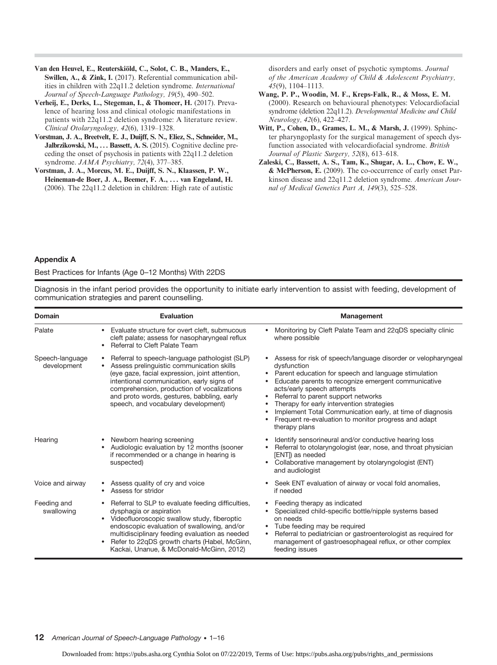- Van den Heuvel, E., Reuterskiöld, C., Solot, C. B., Manders, E., Swillen, A., & Zink, I. (2017). Referential communication abilities in children with 22q11.2 deletion syndrome. International Journal of Speech-Language Pathology, 19(5), 490–502.
- Verheij, E., Derks, L., Stegeman, I., & Thomeer, H. (2017). Prevalence of hearing loss and clinical otologic manifestations in patients with 22q11.2 deletion syndrome: A literature review. Clinical Otolaryngology, 42(6), 1319–1328.
- Vorstman, J. A., Breetvelt, E. J., Duijff, S. N., Eliez, S., Schneider, M., Jalbrzikowski, M., ... Bassett, A. S. (2015). Cognitive decline preceding the onset of psychosis in patients with 22q11.2 deletion syndrome. JAMA Psychiatry, 72(4), 377-385.
- Vorstman, J. A., Morcus, M. E., Duijff, S. N., Klaassen, P. W., Heineman-de Boer, J. A., Beemer, F. A., . . . van Engeland, H. (2006). The 22q11.2 deletion in children: High rate of autistic

disorders and early onset of psychotic symptoms. Journal of the American Academy of Child & Adolescent Psychiatry, 45(9), 1104–1113.

- Wang, P. P., Woodin, M. F., Kreps-Falk, R., & Moss, E. M. (2000). Research on behavioural phenotypes: Velocardiofacial syndrome (deletion 22q11.2). Developmental Medicine and Child Neurology, 42(6), 422–427.
- Witt, P., Cohen, D., Grames, L. M., & Marsh, J. (1999). Sphincter pharyngoplasty for the surgical management of speech dysfunction associated with velocardiofacial syndrome. British Journal of Plastic Surgery, 52(8), 613–618.
- Zaleski, C., Bassett, A. S., Tam, K., Shugar, A. L., Chow, E. W., & McPherson, E. (2009). The co-occurrence of early onset Parkinson disease and 22q11.2 deletion syndrome. American Journal of Medical Genetics Part A, 149(3), 525–528.

#### Appendix A

Best Practices for Infants (Age 0–12 Months) With 22DS

Diagnosis in the infant period provides the opportunity to initiate early intervention to assist with feeding, development of communication strategies and parent counselling.

| <b>Domain</b>                  | Evaluation                                                                                                                                                                                                                                                                                                                            | Management                                                                                                                                                                                                                                                                                                                                                                                                                                                    |
|--------------------------------|---------------------------------------------------------------------------------------------------------------------------------------------------------------------------------------------------------------------------------------------------------------------------------------------------------------------------------------|---------------------------------------------------------------------------------------------------------------------------------------------------------------------------------------------------------------------------------------------------------------------------------------------------------------------------------------------------------------------------------------------------------------------------------------------------------------|
| Palate                         | • Evaluate structure for overt cleft, submucous<br>cleft palate; assess for nasopharyngeal reflux<br>Referral to Cleft Palate Team                                                                                                                                                                                                    | Monitoring by Cleft Palate Team and 22qDS specialty clinic<br>where possible                                                                                                                                                                                                                                                                                                                                                                                  |
| Speech-language<br>development | Referral to speech-language pathologist (SLP)<br>Assess prelinguistic communication skills<br>(eye gaze, facial expression, joint attention,<br>intentional communication, early signs of<br>comprehension, production of vocalizations<br>and proto words, gestures, babbling, early<br>speech, and vocabulary development)          | Assess for risk of speech/language disorder or velopharyngeal<br>dysfunction<br>Parent education for speech and language stimulation<br>٠<br>Educate parents to recognize emergent communicative<br>acts/early speech attempts<br>Referral to parent support networks<br>Therapy for early intervention strategies<br>Implement Total Communication early, at time of diagnosis<br>٠<br>Frequent re-evaluation to monitor progress and adapt<br>therapy plans |
| Hearing                        | Newborn hearing screening<br>Audiologic evaluation by 12 months (sooner<br>if recommended or a change in hearing is<br>suspected)                                                                                                                                                                                                     | Identify sensorineural and/or conductive hearing loss<br>٠<br>Referral to otolaryngologist (ear, nose, and throat physician<br>[ENT]) as needed<br>Collaborative management by otolaryngologist (ENT)<br>$\bullet$<br>and audiologist                                                                                                                                                                                                                         |
| Voice and airway               | Assess quality of cry and voice<br>Assess for stridor                                                                                                                                                                                                                                                                                 | Seek ENT evaluation of airway or vocal fold anomalies,<br>$\bullet$<br>if needed                                                                                                                                                                                                                                                                                                                                                                              |
| Feeding and<br>swallowing      | Referral to SLP to evaluate feeding difficulties,<br>dysphagia or aspiration<br>Videofluoroscopic swallow study, fiberoptic<br>$\bullet$<br>endoscopic evaluation of swallowing, and/or<br>multidisciplinary feeding evaluation as needed<br>Refer to 22qDS growth charts (Habel, McGinn,<br>Kackai, Unanue, & McDonald-McGinn, 2012) | Feeding therapy as indicated<br>Specialized child-specific bottle/nipple systems based<br>on needs<br>Tube feeding may be required<br>٠<br>Referral to pediatrician or gastroenterologist as required for<br>$\bullet$<br>management of gastroesophageal reflux, or other complex<br>feeding issues                                                                                                                                                           |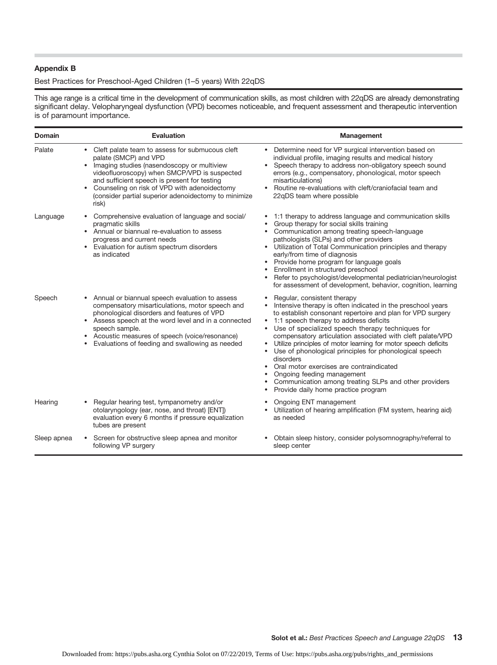#### Appendix B

#### Best Practices for Preschool-Aged Children (1–5 years) With 22qDS

This age range is a critical time in the development of communication skills, as most children with 22qDS are already demonstrating significant delay. Velopharyngeal dysfunction (VPD) becomes noticeable, and frequent assessment and therapeutic intervention is of paramount importance.

| <b>Domain</b> | <b>Evaluation</b>                                                                                                                                                                                                                                                                                                                                        | Management                                                                                                                                                                                                                                                                                                                                                                                                                                                                                                                                                                                                                                                              |
|---------------|----------------------------------------------------------------------------------------------------------------------------------------------------------------------------------------------------------------------------------------------------------------------------------------------------------------------------------------------------------|-------------------------------------------------------------------------------------------------------------------------------------------------------------------------------------------------------------------------------------------------------------------------------------------------------------------------------------------------------------------------------------------------------------------------------------------------------------------------------------------------------------------------------------------------------------------------------------------------------------------------------------------------------------------------|
| Palate        | • Cleft palate team to assess for submucous cleft<br>palate (SMCP) and VPD<br>• Imaging studies (nasendoscopy or multiview<br>videofluoroscopy) when SMCP/VPD is suspected<br>and sufficient speech is present for testing<br>Counseling on risk of VPD with adenoidectomy<br>$\bullet$<br>(consider partial superior adenoidectomy to minimize<br>risk) | • Determine need for VP surgical intervention based on<br>individual profile, imaging results and medical history<br>• Speech therapy to address non-obligatory speech sound<br>errors (e.g., compensatory, phonological, motor speech<br>misarticulations)<br>• Routine re-evaluations with cleft/craniofacial team and<br>22qDS team where possible                                                                                                                                                                                                                                                                                                                   |
| Language      | Comprehensive evaluation of language and social/<br>pragmatic skills<br>• Annual or biannual re-evaluation to assess<br>progress and current needs<br>• Evaluation for autism spectrum disorders<br>as indicated                                                                                                                                         | 1:1 therapy to address language and communication skills<br>Group therapy for social skills training<br>Communication among treating speech-language<br>pathologists (SLPs) and other providers<br>• Utilization of Total Communication principles and therapy<br>early/from time of diagnosis<br>• Provide home program for language goals<br>Enrollment in structured preschool<br>Refer to psychologist/developmental pediatrician/neurologist<br>for assessment of development, behavior, cognition, learning                                                                                                                                                       |
| Speech        | • Annual or biannual speech evaluation to assess<br>compensatory misarticulations, motor speech and<br>phonological disorders and features of VPD<br>• Assess speech at the word level and in a connected<br>speech sample.<br>• Acoustic measures of speech (voice/resonance)<br>Evaluations of feeding and swallowing as needed                        | Regular, consistent therapy<br>Intensive therapy is often indicated in the preschool years<br>$\bullet$<br>to establish consonant repertoire and plan for VPD surgery<br>1:1 speech therapy to address deficits<br>$\bullet$<br>Use of specialized speech therapy techniques for<br>compensatory articulation associated with cleft palate/VPD<br>• Utilize principles of motor learning for motor speech deficits<br>• Use of phonological principles for phonological speech<br>disorders<br>• Oral motor exercises are contraindicated<br>Ongoing feeding management<br>Communication among treating SLPs and other providers<br>Provide daily home practice program |
| Hearing       | Regular hearing test, tympanometry and/or<br>otolaryngology (ear, nose, and throat) [ENT])<br>evaluation every 6 months if pressure equalization<br>tubes are present                                                                                                                                                                                    | Ongoing ENT management<br>Utilization of hearing amplification (FM system, hearing aid)<br>$\bullet$<br>as needed                                                                                                                                                                                                                                                                                                                                                                                                                                                                                                                                                       |
| Sleep apnea   | Screen for obstructive sleep apnea and monitor<br>following VP surgery                                                                                                                                                                                                                                                                                   | Obtain sleep history, consider polysomnography/referral to<br>sleep center                                                                                                                                                                                                                                                                                                                                                                                                                                                                                                                                                                                              |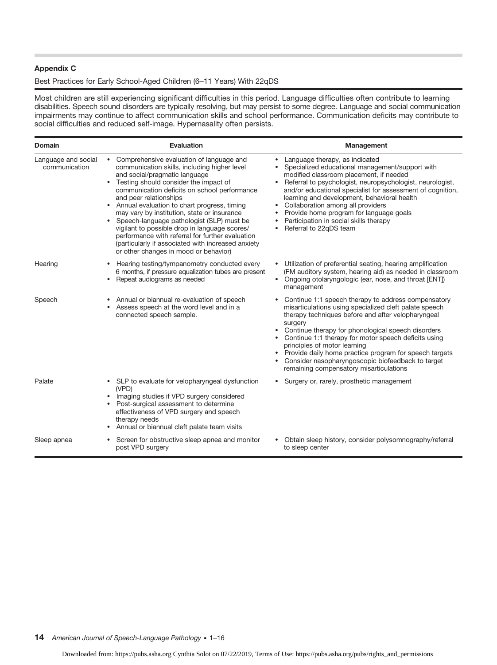#### Appendix C

## Best Practices for Early School-Aged Children (6–11 Years) With 22qDS

Most children are still experiencing significant difficulties in this period. Language difficulties often contribute to learning disabilities. Speech sound disorders are typically resolving, but may persist to some degree. Language and social communication impairments may continue to affect communication skills and school performance. Communication deficits may contribute to social difficulties and reduced self-image. Hypernasality often persists.

| <b>Domain</b>                        | Evaluation                                                                                                                                                                                                                                                                                                                                                                                                                                                                                                                                                                                        | Management                                                                                                                                                                                                                                                                                                                                                                                                                                                                                 |
|--------------------------------------|---------------------------------------------------------------------------------------------------------------------------------------------------------------------------------------------------------------------------------------------------------------------------------------------------------------------------------------------------------------------------------------------------------------------------------------------------------------------------------------------------------------------------------------------------------------------------------------------------|--------------------------------------------------------------------------------------------------------------------------------------------------------------------------------------------------------------------------------------------------------------------------------------------------------------------------------------------------------------------------------------------------------------------------------------------------------------------------------------------|
| Language and social<br>communication | • Comprehensive evaluation of language and<br>communication skills, including higher level<br>and social/pragmatic language<br>• Testing should consider the impact of<br>communication deficits on school performance<br>and peer relationships<br>• Annual evaluation to chart progress, timing<br>may vary by institution, state or insurance<br>Speech-language pathologist (SLP) must be<br>vigilant to possible drop in language scores/<br>performance with referral for further evaluation<br>(particularly if associated with increased anxiety<br>or other changes in mood or behavior) | • Language therapy, as indicated<br>Specialized educational management/support with<br>modified classroom placement, if needed<br>Referral to psychologist, neuropsychologist, neurologist,<br>$\bullet$<br>and/or educational specialist for assessment of cognition,<br>learning and development, behavioral health<br>Collaboration among all providers<br>$\bullet$<br>Provide home program for language goals<br>Participation in social skills therapy<br>Referral to 22qDS team     |
| Hearing                              | Hearing testing/tympanometry conducted every<br>6 months, if pressure equalization tubes are present<br>• Repeat audiograms as needed                                                                                                                                                                                                                                                                                                                                                                                                                                                             | • Utilization of preferential seating, hearing amplification<br>(FM auditory system, hearing aid) as needed in classroom<br>Ongoing otolaryngologic (ear, nose, and throat [ENT])<br>$\bullet$<br>management                                                                                                                                                                                                                                                                               |
| Speech                               | Annual or biannual re-evaluation of speech<br>Assess speech at the word level and in a<br>connected speech sample.                                                                                                                                                                                                                                                                                                                                                                                                                                                                                | Continue 1:1 speech therapy to address compensatory<br>misarticulations using specialized cleft palate speech<br>therapy techniques before and after velopharyngeal<br>surgery<br>Continue therapy for phonological speech disorders<br>• Continue 1:1 therapy for motor speech deficits using<br>principles of motor learning<br>• Provide daily home practice program for speech targets<br>Consider nasopharyngoscopic biofeedback to target<br>remaining compensatory misarticulations |
| Palate                               | • SLP to evaluate for velopharyngeal dysfunction<br>(VPD)<br>• Imaging studies if VPD surgery considered<br>• Post-surgical assessment to determine<br>effectiveness of VPD surgery and speech<br>therapy needs<br>Annual or biannual cleft palate team visits                                                                                                                                                                                                                                                                                                                                    | Surgery or, rarely, prosthetic management                                                                                                                                                                                                                                                                                                                                                                                                                                                  |
| Sleep apnea                          | Screen for obstructive sleep apnea and monitor<br>post VPD surgery                                                                                                                                                                                                                                                                                                                                                                                                                                                                                                                                | Obtain sleep history, consider polysomnography/referral<br>to sleep center                                                                                                                                                                                                                                                                                                                                                                                                                 |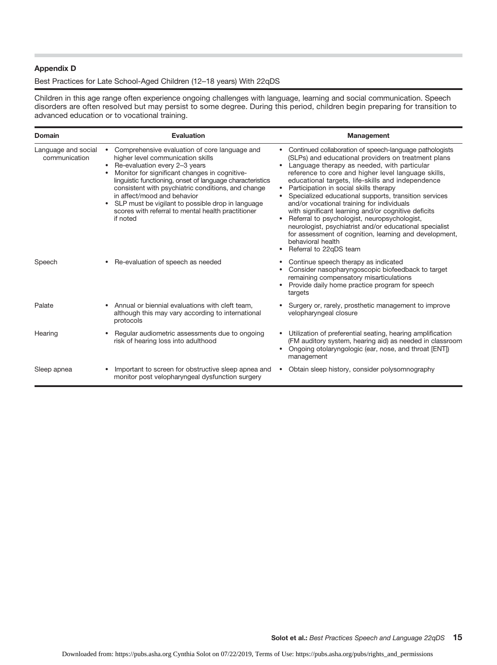#### Appendix D

## Best Practices for Late School-Aged Children (12–18 years) With 22qDS

Children in this age range often experience ongoing challenges with language, learning and social communication. Speech disorders are often resolved but may persist to some degree. During this period, children begin preparing for transition to advanced education or to vocational training.

| <b>Domain</b>                        | Evaluation                                                                                                                                                                                                                                                                                                                                                                                                                                      | Management                                                                                                                                                                                                                                                                                                                                                                                                                                                                                                                                                                                                                                                                                                                      |
|--------------------------------------|-------------------------------------------------------------------------------------------------------------------------------------------------------------------------------------------------------------------------------------------------------------------------------------------------------------------------------------------------------------------------------------------------------------------------------------------------|---------------------------------------------------------------------------------------------------------------------------------------------------------------------------------------------------------------------------------------------------------------------------------------------------------------------------------------------------------------------------------------------------------------------------------------------------------------------------------------------------------------------------------------------------------------------------------------------------------------------------------------------------------------------------------------------------------------------------------|
| Language and social<br>communication | Comprehensive evaluation of core language and<br>higher level communication skills<br>Re-evaluation every 2-3 years<br>Monitor for significant changes in cognitive-<br>linguistic functioning, onset of language characteristics<br>consistent with psychiatric conditions, and change<br>in affect/mood and behavior<br>• SLP must be vigilant to possible drop in language<br>scores with referral to mental health practitioner<br>if noted | Continued collaboration of speech-language pathologists<br>(SLPs) and educational providers on treatment plans<br>Language therapy as needed, with particular<br>$\bullet$<br>reference to core and higher level language skills,<br>educational targets, life-skills and independence<br>Participation in social skills therapy<br>Specialized educational supports, transition services<br>and/or vocational training for individuals<br>with significant learning and/or cognitive deficits<br>Referral to psychologist, neuropsychologist,<br>neurologist, psychiatrist and/or educational specialist<br>for assessment of cognition, learning and development,<br>behavioral health<br>Referral to 22gDS team<br>$\bullet$ |
| Speech                               | • Re-evaluation of speech as needed                                                                                                                                                                                                                                                                                                                                                                                                             | Continue speech therapy as indicated<br>Consider nasopharyngoscopic biofeedback to target<br>remaining compensatory misarticulations<br>Provide daily home practice program for speech<br>targets                                                                                                                                                                                                                                                                                                                                                                                                                                                                                                                               |
| Palate                               | • Annual or biennial evaluations with cleft team,<br>although this may vary according to international<br>protocols                                                                                                                                                                                                                                                                                                                             | • Surgery or, rarely, prosthetic management to improve<br>velopharyngeal closure                                                                                                                                                                                                                                                                                                                                                                                                                                                                                                                                                                                                                                                |
| Hearing                              | Regular audiometric assessments due to ongoing<br>risk of hearing loss into adulthood                                                                                                                                                                                                                                                                                                                                                           | Utilization of preferential seating, hearing amplification<br>(FM auditory system, hearing aid) as needed in classroom<br>Ongoing otolaryngologic (ear, nose, and throat [ENT])<br>management                                                                                                                                                                                                                                                                                                                                                                                                                                                                                                                                   |
| Sleep apnea                          | Important to screen for obstructive sleep apnea and<br>monitor post velopharyngeal dysfunction surgery                                                                                                                                                                                                                                                                                                                                          | Obtain sleep history, consider polysomnography<br>$\bullet$                                                                                                                                                                                                                                                                                                                                                                                                                                                                                                                                                                                                                                                                     |